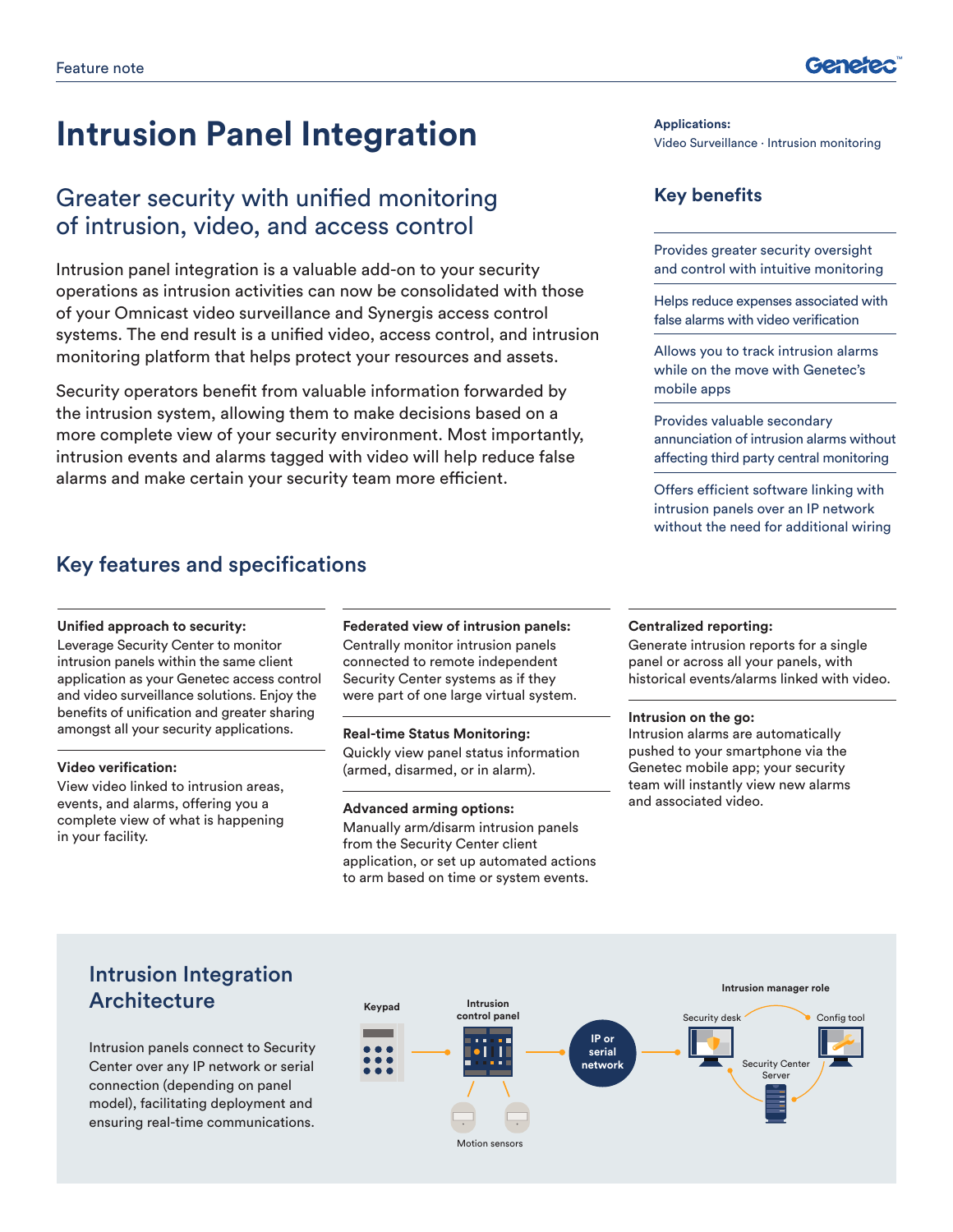# **Intrusion Panel Integration Applications:**

## Greater security with unified monitoring of intrusion, video, and access control

Intrusion panel integration is a valuable add-on to your security operations as intrusion activities can now be consolidated with those of your Omnicast video surveillance and Synergis access control systems. The end result is a unified video, access control, and intrusion monitoring platform that helps protect your resources and assets.

Security operators benefit from valuable information forwarded by the intrusion system, allowing them to make decisions based on a more complete view of your security environment. Most importantly, intrusion events and alarms tagged with video will help reduce false alarms and make certain your security team more efficient.

### Key features and specifications

#### **Unified approach to security:**

Leverage Security Center to monitor intrusion panels within the same client application as your Genetec access control and video surveillance solutions. Enjoy the benefits of unification and greater sharing amongst all your security applications.

#### **Video verification:**

View video linked to intrusion areas, events, and alarms, offering you a complete view of what is happening in your facility.

### **Federated view of intrusion panels:**

Centrally monitor intrusion panels connected to remote independent Security Center systems as if they were part of one large virtual system.

#### **Real-time Status Monitoring:**

Quickly view panel status information (armed, disarmed, or in alarm).

#### **Advanced arming options:**

Manually arm/disarm intrusion panels from the Security Center client application, or set up automated actions to arm based on time or system events.

#### **Centralized reporting:**

Generate intrusion reports for a single panel or across all your panels, with historical events/alarms linked with video.

#### **Intrusion on the go:**

Intrusion alarms are automatically pushed to your smartphone via the Genetec mobile app; your security team will instantly view new alarms and associated video.

### Intrusion Integration **Architecture**

Intrusion panels connect to Security Center over any IP network or serial connection (depending on panel model), facilitating deployment and ensuring real-time communications.



Video Surveillance ∙ Intrusion monitoring

### **Key benefits**

Provides greater security oversight and control with intuitive monitoring

Helps reduce expenses associated with false alarms with video verification

Allows you to track intrusion alarms while on the move with Genetec's mobile apps

Provides valuable secondary annunciation of intrusion alarms without affecting third party central monitoring

Offers efficient software linking with intrusion panels over an IP network without the need for additional wiring